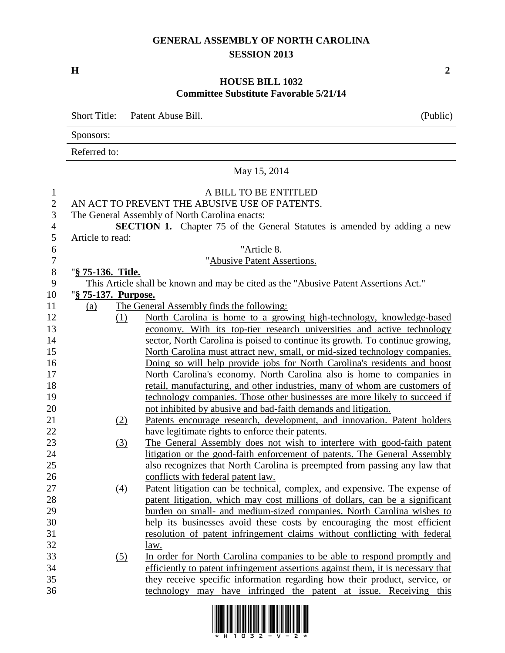## **GENERAL ASSEMBLY OF NORTH CAROLINA SESSION 2013**

**H 2**

## **HOUSE BILL 1032 Committee Substitute Favorable 5/21/14**

Short Title: Patent Abuse Bill. (Public) Sponsors: Referred to: May 15, 2014 A BILL TO BE ENTITLED AN ACT TO PREVENT THE ABUSIVE USE OF PATENTS. The General Assembly of North Carolina enacts: **SECTION 1.** Chapter 75 of the General Statutes is amended by adding a new Article to read: "Article 8. "Abusive Patent Assertions. "**§ 75-136. Title.** This Article shall be known and may be cited as the "Abusive Patent Assertions Act." "**§ 75-137. Purpose.** (a) The General Assembly finds the following: (1) North Carolina is home to a growing high-technology, knowledge-based economy. With its top-tier research universities and active technology sector, North Carolina is poised to continue its growth. To continue growing, North Carolina must attract new, small, or mid-sized technology companies. Doing so will help provide jobs for North Carolina's residents and boost North Carolina's economy. North Carolina also is home to companies in retail, manufacturing, and other industries, many of whom are customers of technology companies. Those other businesses are more likely to succeed if not inhibited by abusive and bad-faith demands and litigation. (2) Patents encourage research, development, and innovation. Patent holders have legitimate rights to enforce their patents. (3) The General Assembly does not wish to interfere with good-faith patent litigation or the good-faith enforcement of patents. The General Assembly also recognizes that North Carolina is preempted from passing any law that conflicts with federal patent law. (4) Patent litigation can be technical, complex, and expensive. The expense of patent litigation, which may cost millions of dollars, can be a significant burden on small- and medium-sized companies. North Carolina wishes to help its businesses avoid these costs by encouraging the most efficient resolution of patent infringement claims without conflicting with federal law. (5) In order for North Carolina companies to be able to respond promptly and efficiently to patent infringement assertions against them, it is necessary that they receive specific information regarding how their product, service, or technology may have infringed the patent at issue. Receiving this

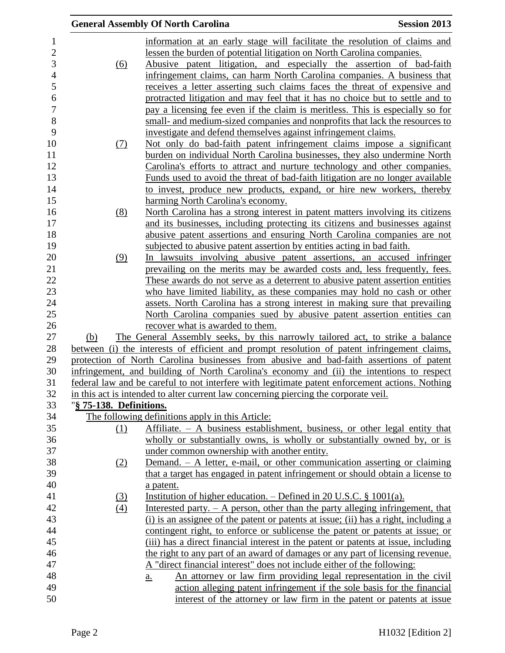|                                |                         | <b>General Assembly Of North Carolina</b>                                                                                                                                              | <b>Session 2013</b> |
|--------------------------------|-------------------------|----------------------------------------------------------------------------------------------------------------------------------------------------------------------------------------|---------------------|
| $\mathbf{1}$<br>$\overline{c}$ |                         | information at an early stage will facilitate the resolution of claims and<br>lessen the burden of potential litigation on North Carolina companies.                                   |                     |
| 3                              | (6)                     | Abusive patent litigation, and especially the assertion of bad-faith                                                                                                                   |                     |
| $\overline{4}$                 |                         | infringement claims, can harm North Carolina companies. A business that                                                                                                                |                     |
| 5                              |                         | receives a letter asserting such claims faces the threat of expensive and                                                                                                              |                     |
| 6                              |                         | protracted litigation and may feel that it has no choice but to settle and to                                                                                                          |                     |
| $\boldsymbol{7}$               |                         | pay a licensing fee even if the claim is meritless. This is especially so for                                                                                                          |                     |
| 8                              |                         | small- and medium-sized companies and nonprofits that lack the resources to                                                                                                            |                     |
| 9                              |                         | investigate and defend themselves against infringement claims.                                                                                                                         |                     |
| 10                             | <u>(7)</u>              | Not only do bad-faith patent infringement claims impose a significant                                                                                                                  |                     |
| 11                             |                         | burden on individual North Carolina businesses, they also undermine North                                                                                                              |                     |
| 12<br>13                       |                         | Carolina's efforts to attract and nurture technology and other companies.                                                                                                              |                     |
| 14                             |                         | Funds used to avoid the threat of bad-faith litigation are no longer available<br>to invest, produce new products, expand, or hire new workers, thereby                                |                     |
| 15                             |                         | harming North Carolina's economy.                                                                                                                                                      |                     |
| 16                             | (8)                     | North Carolina has a strong interest in patent matters involving its citizens                                                                                                          |                     |
| 17                             |                         | and its businesses, including protecting its citizens and businesses against                                                                                                           |                     |
| 18                             |                         | abusive patent assertions and ensuring North Carolina companies are not                                                                                                                |                     |
| 19                             |                         | subjected to abusive patent assertion by entities acting in bad faith.                                                                                                                 |                     |
| 20                             | (9)                     | In lawsuits involving abusive patent assertions, an accused infringer                                                                                                                  |                     |
| 21                             |                         | prevailing on the merits may be awarded costs and, less frequently, fees.                                                                                                              |                     |
| 22                             |                         | These awards do not serve as a deterrent to abusive patent assertion entities                                                                                                          |                     |
| 23                             |                         | who have limited liability, as these companies may hold no cash or other                                                                                                               |                     |
| 24                             |                         | assets. North Carolina has a strong interest in making sure that prevailing                                                                                                            |                     |
| 25                             |                         | North Carolina companies sued by abusive patent assertion entities can                                                                                                                 |                     |
| 26                             |                         | recover what is awarded to them.                                                                                                                                                       |                     |
| 27                             | (b)                     | The General Assembly seeks, by this narrowly tailored act, to strike a balance                                                                                                         |                     |
| 28<br>29                       |                         | between (i) the interests of efficient and prompt resolution of patent infringement claims,<br>protection of North Carolina businesses from abusive and bad-faith assertions of patent |                     |
| 30                             |                         | infringement, and building of North Carolina's economy and (ii) the intentions to respect                                                                                              |                     |
| 31                             |                         | federal law and be careful to not interfere with legitimate patent enforcement actions. Nothing                                                                                        |                     |
| 32                             |                         | in this act is intended to alter current law concerning piercing the corporate veil.                                                                                                   |                     |
| 33                             | "§ 75-138. Definitions. |                                                                                                                                                                                        |                     |
| 34                             |                         | The following definitions apply in this Article:                                                                                                                                       |                     |
| 35                             | (1)                     | Affiliate. $- A$ business establishment, business, or other legal entity that                                                                                                          |                     |
| 36                             |                         | wholly or substantially owns, is wholly or substantially owned by, or is                                                                                                               |                     |
| 37                             |                         | under common ownership with another entity.                                                                                                                                            |                     |
| 38                             | (2)                     | Demand. - A letter, e-mail, or other communication asserting or claiming                                                                                                               |                     |
| 39                             |                         | that a target has engaged in patent infringement or should obtain a license to                                                                                                         |                     |
| 40                             |                         | a patent.                                                                                                                                                                              |                     |
| 41                             | (3)                     | Institution of higher education. $-$ Defined in 20 U.S.C. § 1001(a).                                                                                                                   |                     |
| 42                             | (4)                     | Interested party. $- A$ person, other than the party alleging infringement, that                                                                                                       |                     |
| 43                             |                         | (i) is an assignee of the patent or patents at issue; (ii) has a right, including a                                                                                                    |                     |
| 44<br>45                       |                         | contingent right, to enforce or sublicense the patent or patents at issue; or                                                                                                          |                     |
| 46                             |                         | (iii) has a direct financial interest in the patent or patents at issue, including<br>the right to any part of an award of damages or any part of licensing revenue.                   |                     |
| 47                             |                         | A "direct financial interest" does not include either of the following:                                                                                                                |                     |
| 48                             |                         | An attorney or law firm providing legal representation in the civil<br>a.                                                                                                              |                     |
| 49                             |                         | action alleging patent infringement if the sole basis for the financial                                                                                                                |                     |
| 50                             |                         | interest of the attorney or law firm in the patent or patents at issue                                                                                                                 |                     |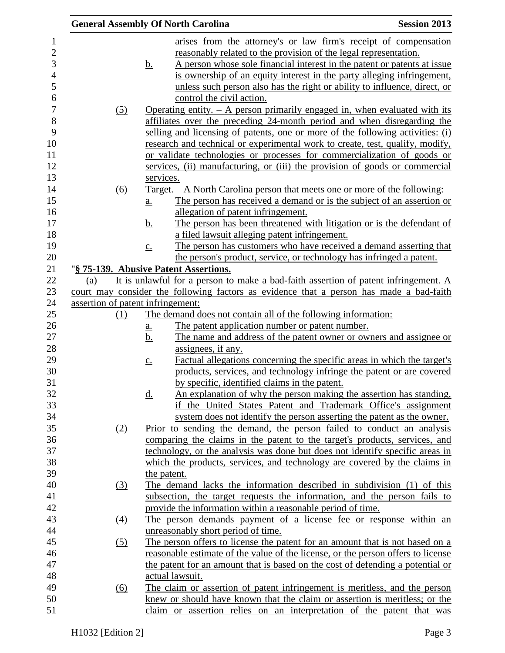|                                   |                            | <b>General Assembly Of North Carolina</b>                                                                                            | <b>Session 2013</b> |
|-----------------------------------|----------------------------|--------------------------------------------------------------------------------------------------------------------------------------|---------------------|
|                                   |                            | arises from the attorney's or law firm's receipt of compensation                                                                     |                     |
|                                   |                            | reasonably related to the provision of the legal representation.                                                                     |                     |
|                                   | <u>b.</u>                  | A person whose sole financial interest in the patent or patents at issue                                                             |                     |
|                                   |                            | is ownership of an equity interest in the party alleging infringement,                                                               |                     |
|                                   |                            | unless such person also has the right or ability to influence, direct, or                                                            |                     |
|                                   |                            | control the civil action.                                                                                                            |                     |
| (5)                               |                            | Operating entity. $-$ A person primarily engaged in, when evaluated with its                                                         |                     |
|                                   |                            | affiliates over the preceding 24-month period and when disregarding the                                                              |                     |
|                                   |                            | selling and licensing of patents, one or more of the following activities: (i)                                                       |                     |
|                                   |                            | research and technical or experimental work to create, test, qualify, modify,                                                        |                     |
|                                   |                            | or validate technologies or processes for commercialization of goods or                                                              |                     |
|                                   |                            | services, (ii) manufacturing, or (iii) the provision of goods or commercial                                                          |                     |
|                                   | services.                  |                                                                                                                                      |                     |
| (6)                               |                            | <u>Target. – A North Carolina person that meets one or more of the following:</u>                                                    |                     |
|                                   | $\underline{a}$ .          | The person has received a demand or is the subject of an assertion or                                                                |                     |
|                                   |                            | allegation of patent infringement.                                                                                                   |                     |
|                                   | <u>b.</u>                  | The person has been threatened with litigation or is the defendant of                                                                |                     |
|                                   |                            | a filed lawsuit alleging patent infringement.                                                                                        |                     |
|                                   | $\underline{c}$ .          | The person has customers who have received a demand asserting that                                                                   |                     |
|                                   |                            | the person's product, service, or technology has infringed a patent.                                                                 |                     |
|                                   |                            | "§ 75-139. Abusive Patent Assertions.                                                                                                |                     |
| (a)                               |                            | It is unlawful for a person to make a bad-faith assertion of patent infringement. A                                                  |                     |
|                                   |                            | court may consider the following factors as evidence that a person has made a bad-faith                                              |                     |
| assertion of patent infringement: |                            |                                                                                                                                      |                     |
| (1)                               |                            | The demand does not contain all of the following information:                                                                        |                     |
|                                   | $\underline{\mathbf{a}}$ . | The patent application number or patent number.                                                                                      |                     |
|                                   | <u>b.</u>                  | The name and address of the patent owner or owners and assignee or                                                                   |                     |
|                                   |                            | assignees, if any.                                                                                                                   |                     |
|                                   | $\underline{c}$ .          | Factual allegations concerning the specific areas in which the target's                                                              |                     |
|                                   |                            | products, services, and technology infringe the patent or are covered                                                                |                     |
|                                   |                            | by specific, identified claims in the patent.                                                                                        |                     |
|                                   | <u>d.</u>                  | An explanation of why the person making the assertion has standing,<br>if the United States Patent and Trademark Office's assignment |                     |
|                                   |                            | system does not identify the person asserting the patent as the owner.                                                               |                     |
| (2)                               |                            | Prior to sending the demand, the person failed to conduct an analysis                                                                |                     |
|                                   |                            | comparing the claims in the patent to the target's products, services, and                                                           |                     |
|                                   |                            | technology, or the analysis was done but does not identify specific areas in                                                         |                     |
|                                   |                            | which the products, services, and technology are covered by the claims in                                                            |                     |
|                                   |                            | the patent.                                                                                                                          |                     |
| <u>(3)</u>                        |                            | The demand lacks the information described in subdivision (1) of this                                                                |                     |
|                                   |                            | subsection, the target requests the information, and the person fails to                                                             |                     |
|                                   |                            | provide the information within a reasonable period of time.                                                                          |                     |
| $\underline{(4)}$                 |                            | The person demands payment of a license fee or response within an                                                                    |                     |
|                                   |                            | unreasonably short period of time.                                                                                                   |                     |
| (5)                               |                            | The person offers to license the patent for an amount that is not based on a                                                         |                     |
|                                   |                            | reasonable estimate of the value of the license, or the person offers to license                                                     |                     |
|                                   |                            | the patent for an amount that is based on the cost of defending a potential or                                                       |                     |
|                                   |                            | actual lawsuit.                                                                                                                      |                     |
| (6)                               |                            | The claim or assertion of patent infringement is meritless, and the person                                                           |                     |
|                                   |                            | knew or should have known that the claim or assertion is meritless; or the                                                           |                     |
|                                   |                            | claim or assertion relies on an interpretation of the patent that was                                                                |                     |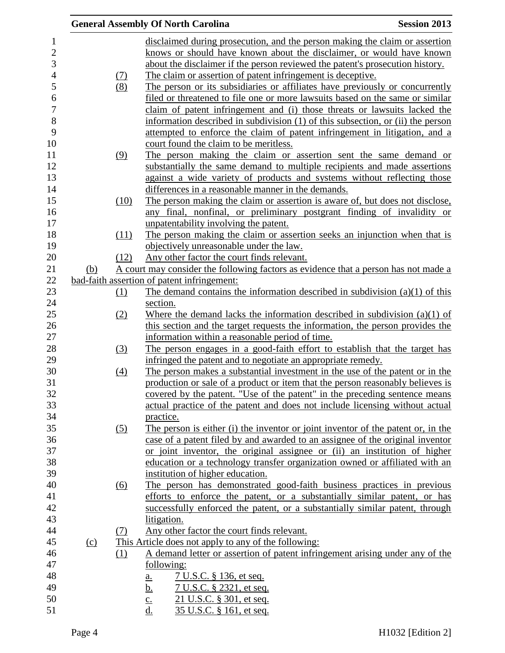|     |            | <b>General Assembly Of North Carolina</b>                                           | <b>Session 2013</b> |
|-----|------------|-------------------------------------------------------------------------------------|---------------------|
|     |            | disclaimed during prosecution, and the person making the claim or assertion         |                     |
|     |            | knows or should have known about the disclaimer, or would have known                |                     |
|     |            | about the disclaimer if the person reviewed the patent's prosecution history.       |                     |
|     |            |                                                                                     |                     |
|     | <u>(7)</u> | The claim or assertion of patent infringement is deceptive.                         |                     |
|     | (8)        | The person or its subsidiaries or affiliates have previously or concurrently        |                     |
|     |            | filed or threatened to file one or more lawsuits based on the same or similar       |                     |
|     |            | claim of patent infringement and (i) those threats or lawsuits lacked the           |                     |
|     |            | information described in subdivision (1) of this subsection, or (ii) the person     |                     |
|     |            | attempted to enforce the claim of patent infringement in litigation, and a          |                     |
|     |            | court found the claim to be meritless.                                              |                     |
|     | (9)        | The person making the claim or assertion sent the same demand or                    |                     |
|     |            | substantially the same demand to multiple recipients and made assertions            |                     |
|     |            | against a wide variety of products and systems without reflecting those             |                     |
|     |            | differences in a reasonable manner in the demands.                                  |                     |
|     | (10)       | The person making the claim or assertion is aware of, but does not disclose,        |                     |
|     |            | any final, nonfinal, or preliminary postgrant finding of invalidity or              |                     |
|     |            | unpatentability involving the patent.                                               |                     |
|     | (11)       | The person making the claim or assertion seeks an injunction when that is           |                     |
|     |            | objectively unreasonable under the law.                                             |                     |
|     | (12)       | Any other factor the court finds relevant.                                          |                     |
| (b) |            | A court may consider the following factors as evidence that a person has not made a |                     |
|     |            | bad-faith assertion of patent infringement:                                         |                     |
|     | <u>(1)</u> | The demand contains the information described in subdivision $(a)(1)$ of this       |                     |
|     |            | section.                                                                            |                     |
|     | (2)        | Where the demand lacks the information described in subdivision $(a)(1)$ of         |                     |
|     |            | this section and the target requests the information, the person provides the       |                     |
|     |            | information within a reasonable period of time.                                     |                     |
|     | (3)        | The person engages in a good-faith effort to establish that the target has          |                     |
|     |            | infringed the patent and to negotiate an appropriate remedy.                        |                     |
|     |            | The person makes a substantial investment in the use of the patent or in the        |                     |
|     | (4)        |                                                                                     |                     |
|     |            | production or sale of a product or item that the person reasonably believes is      |                     |
|     |            | covered by the patent. "Use of the patent" in the preceding sentence means          |                     |
|     |            | actual practice of the patent and does not include licensing without actual         |                     |
|     |            | practice.                                                                           |                     |
|     | (5)        | The person is either (i) the inventor or joint inventor of the patent or, in the    |                     |
|     |            | case of a patent filed by and awarded to an assignee of the original inventor       |                     |
|     |            | or joint inventor, the original assignee or (ii) an institution of higher           |                     |
|     |            | education or a technology transfer organization owned or affiliated with an         |                     |
|     |            | institution of higher education.                                                    |                     |
|     | (6)        | The person has demonstrated good-faith business practices in previous               |                     |
|     |            | efforts to enforce the patent, or a substantially similar patent, or has            |                     |
|     |            | successfully enforced the patent, or a substantially similar patent, through        |                     |
|     |            | litigation.                                                                         |                     |
|     | (7)        | Any other factor the court finds relevant.                                          |                     |
| (c) |            | This Article does not apply to any of the following:                                |                     |
|     | (1)        | A demand letter or assertion of patent infringement arising under any of the        |                     |
|     |            | following:                                                                          |                     |
|     |            | <u>7 U.S.C. § 136, et seq.</u><br>$\underline{\mathbf{a}}$ .                        |                     |
|     |            | <u>b.</u><br><u>7 U.S.C. § 2321, et seq.</u>                                        |                     |
|     |            | 21 U.S.C. § 301, et seq.<br>$rac{c}{d}$                                             |                     |
|     |            | 35 U.S.C. § 161, et seq.                                                            |                     |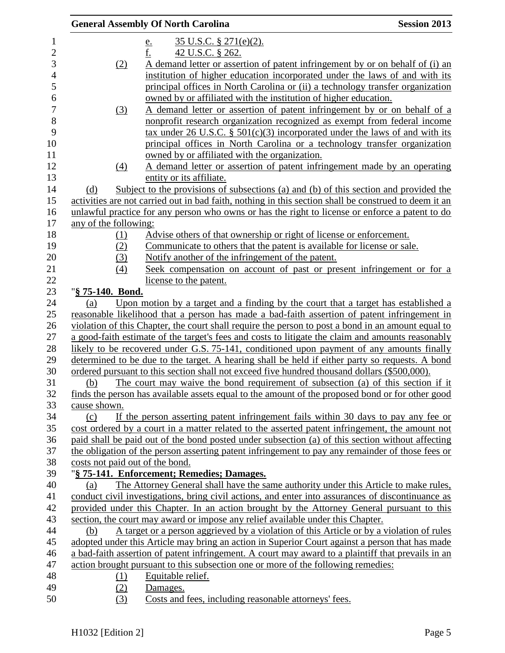|                          |                                 | <b>General Assembly Of North Carolina</b>                                                             | <b>Session 2013</b> |
|--------------------------|---------------------------------|-------------------------------------------------------------------------------------------------------|---------------------|
| $\mathbf{1}$             |                                 | $35$ U.S.C. § 271(e)(2).<br><u>e.</u>                                                                 |                     |
| $\overline{2}$           |                                 | f.<br>42 U.S.C. § 262.                                                                                |                     |
| 3                        | (2)                             | A demand letter or assertion of patent infringement by or on behalf of (i) an                         |                     |
| $\overline{\mathcal{L}}$ |                                 | institution of higher education incorporated under the laws of and with its                           |                     |
| 5                        |                                 | principal offices in North Carolina or (ii) a technology transfer organization                        |                     |
| 6                        |                                 | owned by or affiliated with the institution of higher education.                                      |                     |
| 7                        | (3)                             | A demand letter or assertion of patent infringement by or on behalf of a                              |                     |
| 8                        |                                 | nonprofit research organization recognized as exempt from federal income                              |                     |
| 9                        |                                 | tax under 26 U.S.C. $\S$ 501(c)(3) incorporated under the laws of and with its                        |                     |
| 10                       |                                 | principal offices in North Carolina or a technology transfer organization                             |                     |
| 11                       |                                 | owned by or affiliated with the organization.                                                         |                     |
| 12                       | $\underline{(4)}$               | A demand letter or assertion of patent infringement made by an operating                              |                     |
| 13                       |                                 | entity or its affiliate.                                                                              |                     |
| 14                       | (d)                             | Subject to the provisions of subsections (a) and (b) of this section and provided the                 |                     |
| 15                       |                                 | activities are not carried out in bad faith, nothing in this section shall be construed to deem it an |                     |
| 16                       |                                 | unlawful practice for any person who owns or has the right to license or enforce a patent to do       |                     |
| 17                       | any of the following:           |                                                                                                       |                     |
| 18                       | (1)                             | Advise others of that ownership or right of license or enforcement.                                   |                     |
| 19                       | (2)                             | Communicate to others that the patent is available for license or sale.                               |                     |
| 20                       | (3)                             | Notify another of the infringement of the patent.                                                     |                     |
| 21                       | (4)                             | Seek compensation on account of past or present infringement or for a                                 |                     |
| 22                       |                                 | license to the patent.                                                                                |                     |
| 23                       | "§ 75-140. Bond.                |                                                                                                       |                     |
| 24                       | (a)                             | Upon motion by a target and a finding by the court that a target has established a                    |                     |
| 25                       |                                 | reasonable likelihood that a person has made a bad-faith assertion of patent infringement in          |                     |
| 26                       |                                 | violation of this Chapter, the court shall require the person to post a bond in an amount equal to    |                     |
| 27                       |                                 | a good-faith estimate of the target's fees and costs to litigate the claim and amounts reasonably     |                     |
| 28                       |                                 | likely to be recovered under G.S. 75-141, conditioned upon payment of any amounts finally             |                     |
| 29                       |                                 | determined to be due to the target. A hearing shall be held if either party so requests. A bond       |                     |
| 30                       |                                 | ordered pursuant to this section shall not exceed five hundred thousand dollars (\$500,000).          |                     |
| 31                       | (b)                             | The court may waive the bond requirement of subsection (a) of this section if it                      |                     |
| 32                       |                                 | finds the person has available assets equal to the amount of the proposed bond or for other good      |                     |
| 33                       | cause shown.                    |                                                                                                       |                     |
| 34                       | (c)                             | If the person asserting patent infringement fails within 30 days to pay any fee or                    |                     |
| 35                       |                                 | cost ordered by a court in a matter related to the asserted patent infringement, the amount not       |                     |
| 36                       |                                 | paid shall be paid out of the bond posted under subsection (a) of this section without affecting      |                     |
| 37                       |                                 | the obligation of the person asserting patent infringement to pay any remainder of those fees or      |                     |
| 38                       | costs not paid out of the bond. |                                                                                                       |                     |
| 39                       |                                 | "§ 75-141. Enforcement; Remedies; Damages.                                                            |                     |
| 40                       | (a)                             | The Attorney General shall have the same authority under this Article to make rules,                  |                     |
| 41                       |                                 | conduct civil investigations, bring civil actions, and enter into assurances of discontinuance as     |                     |
| 42                       |                                 | provided under this Chapter. In an action brought by the Attorney General pursuant to this            |                     |
| 43                       |                                 | section, the court may award or impose any relief available under this Chapter.                       |                     |
| 44                       | (b)                             | A target or a person aggrieved by a violation of this Article or by a violation of rules              |                     |
| 45                       |                                 | adopted under this Article may bring an action in Superior Court against a person that has made       |                     |
| 46                       |                                 | a bad-faith assertion of patent infringement. A court may award to a plaintiff that prevails in an    |                     |
| 47                       |                                 | action brought pursuant to this subsection one or more of the following remedies:                     |                     |
| 48                       | (1)                             | Equitable relief.                                                                                     |                     |
| 49                       | (2)                             | Damages.                                                                                              |                     |
| 50                       | (3)                             | Costs and fees, including reasonable attorneys' fees.                                                 |                     |